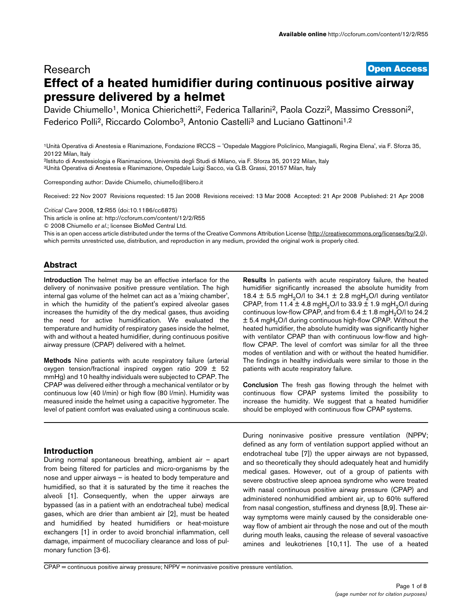# **[Open Access](http://www.biomedcentral.com/info/about/charter/)** Research **Effect of a heated humidifier during continuous positive airway pressure delivered by a helmet**

Davide Chiumello<sup>1</sup>, Monica Chierichetti<sup>2</sup>, Federica Tallarini<sup>2</sup>, Paola Cozzi<sup>2</sup>, Massimo Cressoni<sup>2</sup>, Federico Polli<sup>2</sup>, Riccardo Colombo<sup>3</sup>, Antonio Castelli<sup>3</sup> and Luciano Gattinoni<sup>1,2</sup>

1Unità Operativa di Anestesia e Rianimazione, Fondazione IRCCS – 'Ospedale Maggiore Policlinico, Mangiagalli, Regina Elena', via F. Sforza 35, 20122 Milan, Italy

2Istituto di Anestesiologia e Rianimazione, Università degli Studi di Milano, via F. Sforza 35, 20122 Milan, Italy 3Unità Operativa di Anestesia e Rianimazione, Ospedale Luigi Sacco, via G.B. Grassi, 20157 Milan, Italy

Corresponding author: Davide Chiumello, chiumello@libero.it

Received: 22 Nov 2007 Revisions requested: 15 Jan 2008 Revisions received: 13 Mar 2008 Accepted: 21 Apr 2008 Published: 21 Apr 2008

*Critical Care* 2008, **12**:R55 (doi:10.1186/cc6875)

[This article is online at: http://ccforum.com/content/12/2/R55](http://ccforum.com/content/12/2/R55)

© 2008 Chiumello *et al*.; licensee BioMed Central Ltd.

This is an open access article distributed under the terms of the Creative Commons Attribution License [\(http://creativecommons.org/licenses/by/2.0\)](http://creativecommons.org/licenses/by/2.0), which permits unrestricted use, distribution, and reproduction in any medium, provided the original work is properly cited.

# **Abstract**

**Introduction** The helmet may be an effective interface for the delivery of noninvasive positive pressure ventilation. The high internal gas volume of the helmet can act as a 'mixing chamber', in which the humidity of the patient's expired alveolar gases increases the humidity of the dry medical gases, thus avoiding the need for active humidification. We evaluated the temperature and humidity of respiratory gases inside the helmet, with and without a heated humidifier, during continuous positive airway pressure (CPAP) delivered with a helmet.

**Methods** Nine patients with acute respiratory failure (arterial oxygen tension/fractional inspired oxygen ratio 209  $\pm$  52 mmHg) and 10 healthy individuals were subjected to CPAP. The CPAP was delivered either through a mechanical ventilator or by continuous low (40 l/min) or high flow (80 l/min). Humidity was measured inside the helmet using a capacitive hygrometer. The level of patient comfort was evaluated using a continuous scale.

# **Introduction**

During normal spontaneous breathing, ambient air – apart from being filtered for particles and micro-organisms by the nose and upper airways – is heated to body temperature and humidified, so that it is saturated by the time it reaches the alveoli [1]. Consequently, when the upper airways are bypassed (as in a patient with an endotracheal tube) medical gases, which are drier than ambient air [2], must be heated and humidified by heated humidifiers or heat-moisture exchangers [1] in order to avoid bronchial inflammation, cell damage, impairment of mucociliary clearance and loss of pulmonary function [3-6].

**Results** In patients with acute respiratory failure, the heated humidifier significantly increased the absolute humidity from 18.4  $\pm$  5.5 mgH<sub>2</sub>O/l to 34.1  $\pm$  2.8 mgH<sub>2</sub>O/l during ventilator CPAP, from 11.4  $\pm$  4.8 mgH<sub>2</sub>O/l to 33.9  $\pm$  1.9 mgH<sub>2</sub>O/l during continuous low-flow CPAP, and from  $6.4 \pm 1.8$  mgH<sub>2</sub>O/l to 24.2  $\pm$  5.4 mgH<sub>2</sub>O/I during continuous high-flow CPAP. Without the heated humidifier, the absolute humidity was significantly higher with ventilator CPAP than with continuous low-flow and highflow CPAP. The level of comfort was similar for all the three modes of ventilation and with or without the heated humidifier. The findings in healthy individuals were similar to those in the patients with acute respiratory failure.

**Conclusion** The fresh gas flowing through the helmet with continuous flow CPAP systems limited the possibility to increase the humidity. We suggest that a heated humidifier should be employed with continuous flow CPAP systems.

During noninvasive positive pressure ventilation (NPPV; defined as any form of ventilation support applied without an endotracheal tube [7]) the upper airways are not bypassed, and so theoretically they should adequately heat and humidify medical gases. However, out of a group of patients with severe obstructive sleep apnoea syndrome who were treated with nasal continuous positive airway pressure (CPAP) and administered nonhumidified ambient air, up to 60% suffered from nasal congestion, stuffiness and dryness [8,9]. These airway symptoms were mainly caused by the considerable oneway flow of ambient air through the nose and out of the mouth during mouth leaks, causing the release of several vasoactive amines and leukotrienes [10,11]. The use of a heated

CPAP = continuous positive airway pressure; NPPV = noninvasive positive pressure ventilation.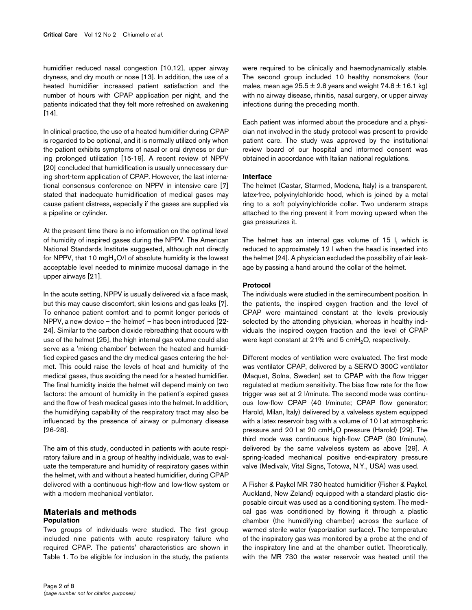humidifier reduced nasal congestion [10,12], upper airway dryness, and dry mouth or nose [13]. In addition, the use of a heated humidifier increased patient satisfaction and the number of hours with CPAP application per night, and the patients indicated that they felt more refreshed on awakening  $[14]$ .

In clinical practice, the use of a heated humidifier during CPAP is regarded to be optional, and it is normally utilized only when the patient exhibits symptoms of nasal or oral dryness or during prolonged utilization [15-19]. A recent review of NPPV [20] concluded that humidification is usually unnecessary during short-term application of CPAP. However, the last international consensus conference on NPPV in intensive care [7] stated that inadequate humidification of medical gases may cause patient distress, especially if the gases are supplied via a pipeline or cylinder.

At the present time there is no information on the optimal level of humidity of inspired gases during the NPPV. The American National Standards Institute suggested, although not directly for NPPV, that 10 mgH<sub>2</sub>O/l of absolute humidity is the lowest acceptable level needed to minimize mucosal damage in the upper airways [21].

In the acute setting, NPPV is usually delivered via a face mask, but this may cause discomfort, skin lesions and gas leaks [7]. To enhance patient comfort and to permit longer periods of NPPV, a new device – the 'helmet' – has been introduced [22- 24]. Similar to the carbon dioxide rebreathing that occurs with use of the helmet [25], the high internal gas volume could also serve as a 'mixing chamber' between the heated and humidified expired gases and the dry medical gases entering the helmet. This could raise the levels of heat and humidity of the medical gases, thus avoiding the need for a heated humidifier. The final humidity inside the helmet will depend mainly on two factors: the amount of humidity in the patient's expired gases and the flow of fresh medical gases into the helmet. In addition, the humidifying capability of the respiratory tract may also be influenced by the presence of airway or pulmonary disease [26-28].

The aim of this study, conducted in patients with acute respiratory failure and in a group of healthy individuals, was to evaluate the temperature and humidity of respiratory gases within the helmet, with and without a heated humidifier, during CPAP delivered with a continuous high-flow and low-flow system or with a modern mechanical ventilator.

## **Materials and methods Population**

Two groups of individuals were studied. The first group included nine patients with acute respiratory failure who required CPAP. The patients' characteristics are shown in Table [1](#page-2-0). To be eligible for inclusion in the study, the patients Each patient was informed about the procedure and a physician not involved in the study protocol was present to provide patient care. The study was approved by the institutional review board of our hospital and informed consent was obtained in accordance with Italian national regulations.

# **Interface**

The helmet (Castar, Starmed, Modena, Italy) is a transparent, latex-free, polyvinylchloride hood, which is joined by a metal ring to a soft polyvinylchloride collar. Two underarm straps attached to the ring prevent it from moving upward when the gas pressurizes it.

The helmet has an internal gas volume of 15 l, which is reduced to approximately 12 l when the head is inserted into the helmet [24]. A physician excluded the possibility of air leakage by passing a hand around the collar of the helmet.

# **Protocol**

The individuals were studied in the semirecumbent position. In the patients, the inspired oxygen fraction and the level of CPAP were maintained constant at the levels previously selected by the attending physician, whereas in healthy individuals the inspired oxygen fraction and the level of CPAP were kept constant at 21% and 5  $cmH<sub>2</sub>O$ , respectively.

Different modes of ventilation were evaluated. The first mode was ventilator CPAP, delivered by a SERVO 300C ventilator (Maquet, Solna, Sweden) set to CPAP with the flow trigger regulated at medium sensitivity. The bias flow rate for the flow trigger was set at 2 l/minute. The second mode was continuous low-flow CPAP (40 l/minute; CPAP flow generator; Harold, Milan, Italy) delivered by a valveless system equipped with a latex reservoir bag with a volume of 10 l at atmospheric pressure and 20 l at 20  $cmH<sub>2</sub>O$  pressure (Harold) [29]. The third mode was continuous high-flow CPAP (80 l/minute), delivered by the same valveless system as above [29]. A spring-loaded mechanical positive end-expiratory pressure valve (Medivalv, Vital Signs, Totowa, N.Y., USA) was used.

A Fisher & Paykel MR 730 heated humidifier (Fisher & Paykel, Auckland, New Zeland) equipped with a standard plastic disposable circuit was used as a conditioning system. The medical gas was conditioned by flowing it through a plastic chamber (the humidifying chamber) across the surface of warmed sterile water (vaporization surface). The temperature of the inspiratory gas was monitored by a probe at the end of the inspiratory line and at the chamber outlet. Theoretically, with the MR 730 the water reservoir was heated until the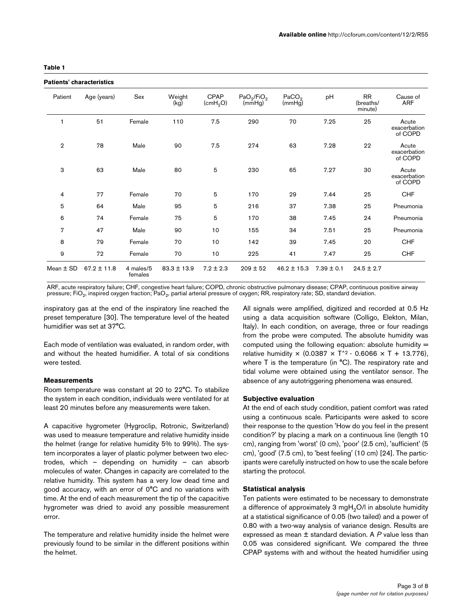#### <span id="page-2-0"></span>**Table 1**

#### **Patients' characteristics**

| Patients' characteristics |                 |                      |                 |                              |                                     |                             |                |                                   |                                  |
|---------------------------|-----------------|----------------------|-----------------|------------------------------|-------------------------------------|-----------------------------|----------------|-----------------------------------|----------------------------------|
| Patient                   | Age (years)     | Sex                  | Weight<br>(kg)  | CPAP<br>(cmH <sub>2</sub> O) | $PaO_2$ /FiO <sub>2</sub><br>(mmHg) | PaCO <sub>2</sub><br>(mmHg) | pH             | <b>RR</b><br>(breaths/<br>minute) | Cause of<br><b>ARF</b>           |
| 1                         | 51              | Female               | 110             | 7.5                          | 290                                 | 70                          | 7.25           | 25                                | Acute<br>exacerbation<br>of COPD |
| $\overline{2}$            | 78              | Male                 | 90              | 7.5                          | 274                                 | 63                          | 7.28           | 22                                | Acute<br>exacerbation<br>of COPD |
| 3                         | 63              | Male                 | 80              | 5                            | 230                                 | 65                          | 7.27           | 30                                | Acute<br>exacerbation<br>of COPD |
| 4                         | 77              | Female               | 70              | 5                            | 170                                 | 29                          | 7.44           | 25                                | <b>CHF</b>                       |
| 5                         | 64              | Male                 | 95              | 5                            | 216                                 | 37                          | 7.38           | 25                                | Pneumonia                        |
| 6                         | 74              | Female               | 75              | 5                            | 170                                 | 38                          | 7.45           | 24                                | Pneumonia                        |
| 7                         | 47              | Male                 | 90              | 10                           | 155                                 | 34                          | 7.51           | 25                                | Pneumonia                        |
| 8                         | 79              | Female               | 70              | 10                           | 142                                 | 39                          | 7.45           | 20                                | <b>CHF</b>                       |
| 9                         | 72              | Female               | 70              | 10                           | 225                                 | 41                          | 7.47           | 25                                | <b>CHF</b>                       |
| Mean $\pm$ SD             | $67.2 \pm 11.8$ | 4 males/5<br>females | $83.3 \pm 13.9$ | $7.2 \pm 2.3$                | $209 \pm 52$                        | $46.2 \pm 15.3$             | $7.39 \pm 0.1$ | $24.5 \pm 2.7$                    |                                  |

ARF, acute respiratory failure; CHF, congestive heart failure; COPD, chronic obstructive pulmonary disease; CPAP, continuous positive airway pressure; FiO<sub>2</sub>, inspired oxygen fraction; PaO<sub>2</sub>, partial arterial pressure of oxygen; RR, respiratory rate; SD, standard deviation.

inspiratory gas at the end of the inspiratory line reached the preset temperature [30]. The temperature level of the heated humidifier was set at 37°C.

Each mode of ventilation was evaluated, in random order, with and without the heated humidifier. A total of six conditions were tested.

# **Measurements**

Room temperature was constant at 20 to 22°C. To stabilize the system in each condition, individuals were ventilated for at least 20 minutes before any measurements were taken.

A capacitive hygrometer (Hygroclip, Rotronic, Switzerland) was used to measure temperature and relative humidity inside the helmet (range for relative humidity 5% to 99%). The system incorporates a layer of plastic polymer between two electrodes, which – depending on humidity – can absorb molecules of water. Changes in capacity are correlated to the relative humidity. This system has a very low dead time and good accuracy, with an error of 0°C and no variations with time. At the end of each measurement the tip of the capacitive hygrometer was dried to avoid any possible measurement error.

The temperature and relative humidity inside the helmet were previously found to be similar in the different positions within the helmet.

All signals were amplified, digitized and recorded at 0.5 Hz using a data acquisition software (Colligo, Elekton, Milan, Italy). In each condition, on average, three or four readings from the probe were computed. The absolute humidity was computed using the following equation: absolute humidity  $=$ relative humidity  $\times$  (0.0387  $\times$  T<sup>^2</sup> - 0.6066  $\times$  T + 13.776), where T is the temperature (in °C). The respiratory rate and tidal volume were obtained using the ventilator sensor. The absence of any autotriggering phenomena was ensured.

### **Subjective evaluation**

At the end of each study condition, patient comfort was rated using a continuous scale. Participants were asked to score their response to the question 'How do you feel in the present condition?' by placing a mark on a continuous line (length 10 cm), ranging from 'worst' (0 cm), 'poor' (2.5 cm), 'sufficient' (5 cm), 'good' (7.5 cm), to 'best feeling' (10 cm) [24]. The participants were carefully instructed on how to use the scale before starting the protocol.

#### **Statistical analysis**

Ten patients were estimated to be necessary to demonstrate a difference of approximately 3 mgH<sub>2</sub>O/l in absolute humidity at a statistical significance of 0.05 (two tailed) and a power of 0.80 with a two-way analysis of variance design. Results are expressed as mean ± standard deviation. A *P* value less than 0.05 was considered significant. We compared the three CPAP systems with and without the heated humidifier using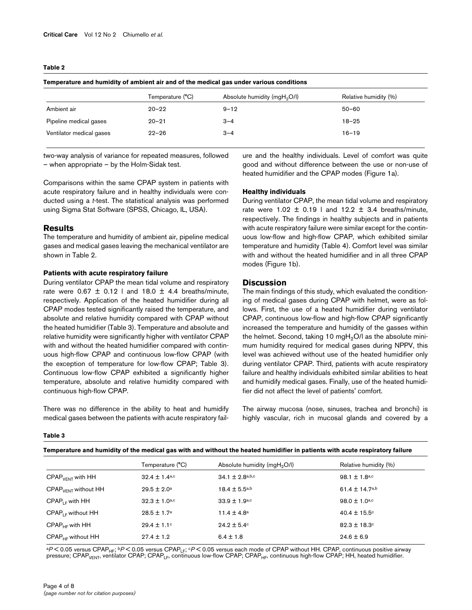#### <span id="page-3-0"></span>**Table 2**

|                          | Temperature (°C) | Absolute humidity (mgH <sub>2</sub> O/l) | Relative humidity (%) |  |
|--------------------------|------------------|------------------------------------------|-----------------------|--|
| Ambient air              | $20 - 22$        | $9 - 12$                                 | $50 - 60$             |  |
| Pipeline medical gases   | $20 - 21$        | $3 - 4$                                  | $18 - 25$             |  |
| Ventilator medical gases | $22 - 26$        | $3 - 4$                                  | $16 - 19$             |  |
|                          |                  |                                          |                       |  |

**Temperature and humidity of ambient air and of the medical gas under various conditions**

two-way analysis of variance for repeated measures, followed – when appropriate – by the Holm-Sidak test.

Comparisons within the same CPAP system in patients with acute respiratory failure and in healthy individuals were conducted using a *t*-test. The statistical analysis was performed using Sigma Stat Software (SPSS, Chicago, IL, USA).

### **Results**

The temperature and humidity of ambient air, pipeline medical gases and medical gases leaving the mechanical ventilator are shown in Table [2](#page-3-0).

#### **Patients with acute respiratory failure**

During ventilator CPAP the mean tidal volume and respiratory rate were  $0.67 \pm 0.12$  | and 18.0  $\pm$  4.4 breaths/minute, respectively. Application of the heated humidifier during all CPAP modes tested significantly raised the temperature, and absolute and relative humidity compared with CPAP without the heated humidifier (Table [3](#page-3-1)). Temperature and absolute and relative humidity were significantly higher with ventilator CPAP with and without the heated humidifier compared with continuous high-flow CPAP and continuous low-flow CPAP (with the exception of temperature for low-flow CPAP; Table [3\)](#page-3-1). Continuous low-flow CPAP exhibited a significantly higher temperature, absolute and relative humidity compared with continuous high-flow CPAP.

There was no difference in the ability to heat and humidify medical gases between the patients with acute respiratory failure and the healthy individuals. Level of comfort was quite good and without difference between the use or non-use of heated humidifier and the CPAP modes (Figure 1a).

#### **Healthy individuals**

During ventilator CPAP, the mean tidal volume and respiratory rate were  $1.02 \pm 0.19$  | and  $12.2 \pm 3.4$  breaths/minute, respectively. The findings in healthy subjects and in patients with acute respiratory failure were similar except for the continuous low-flow and high-flow CPAP, which exhibited similar temperature and humidity (Table [4\)](#page-5-0). Comfort level was similar with and without the heated humidifier and in all three CPAP modes (Figure 1b).

# **Discussion**

The main findings of this study, which evaluated the conditioning of medical gases during CPAP with helmet, were as follows. First, the use of a heated humidifier during ventilator CPAP, continuous low-flow and high-flow CPAP significantly increased the temperature and humidity of the gasses within the helmet. Second, taking 10 mgH<sub>2</sub>O/l as the absolute minimum humidity required for medical gases during NPPV, this level was achieved without use of the heated humidifier only during ventilator CPAP. Third, patients with acute respiratory failure and healthy individuals exhibited similar abilities to heat and humidify medical gases. Finally, use of the heated humidifier did not affect the level of patients' comfort.

The airway mucosa (nose, sinuses, trachea and bronchi) is highly vascular, rich in mucosal glands and covered by a

<span id="page-3-1"></span>**Table 3**

|  | Temperature and humidity of the medical gas with and without the heated humidifier in patients with acute respiratory failure |  |  |
|--|-------------------------------------------------------------------------------------------------------------------------------|--|--|
|--|-------------------------------------------------------------------------------------------------------------------------------|--|--|

|                                 | Temperature (°C)              | Absolute humidity (mgH <sub>2</sub> O/l) | Relative humidity (%) |
|---------------------------------|-------------------------------|------------------------------------------|-----------------------|
| $CPAPVFNT$ with $HH$            | $32.4 \pm 1.4$ <sup>a,c</sup> | $34.1 \pm 2.8$ a,b,c                     | 98.1 $\pm$ 1.8a,c     |
| $CPAPVFNT$ without HH           | $29.5 \pm 2.0^{\text{a}}$     | $18.4 \pm 5.5$ a,b                       | $61.4 \pm 14.7$ a,b   |
| $CPAP_{LE}$ with HH             | $32.3 \pm 1.0$ a,c            | $33.9 \pm 1.9$ a,c                       | $98.0 \pm 1.0$ a,c    |
| $CPAP$ <sub>LE</sub> without HH | $28.5 \pm 1.7^a$              | 11.4 $\pm$ 4.8 <sup>a</sup>              | $40.4 \pm 15.5$ °     |
| $CPAPHF$ with $HH$              | $29.4 \pm 1.1$ <sup>c</sup>   | $24.2 \pm 5.4$ <sup>c</sup>              | $82.3 \pm 18.3$ c     |
| $CPAPHF$ without HH             | $27.4 \pm 1.2$                | $6.4 \pm 1.8$                            | $24.6 \pm 6.9$        |

ªP<0.05 versus CPAP<sub>HF</sub>; <sup>b</sup>P<0.05 versus CPAP<sub>LF</sub>; ○P<0.05 versus each mode of CPAP without HH. CPAP, continuous positive airway<br>pressure; CPAP<sub>VENT</sub>, ventilator CPAP; CPAP<sub>LF</sub>, continuous low-flow CPAP; CPAP<sub>HF</sub>, contin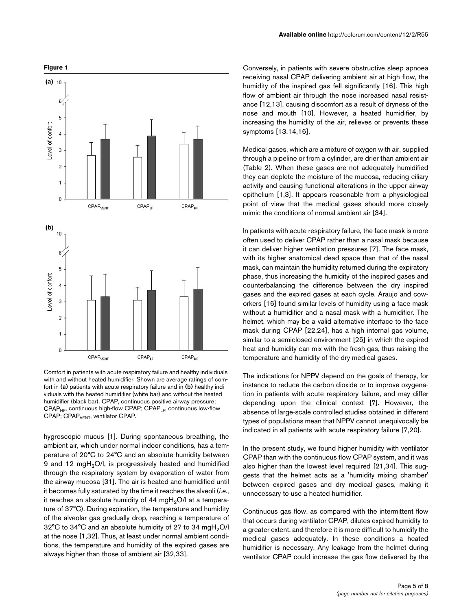

Comfort in patients with acute respiratory failure and healthy individuals with and without heated humidifier. Shown are average ratings of comfort in **(a)** patients with acute respiratory failure and in **(b)** healthy individuals with the heated humidifier (white bar) and without the heated humidifier (black bar). CPAP, continuous positive airway pressure;  $CPAP<sub>HF</sub>$ , continuous high-flow CPAP; CPAP<sub>LF</sub>, continuous low-flow CPAP; CPAP<sub>VENT</sub>, ventilator CPAP.

hygroscopic mucus [1]. During spontaneous breathing, the ambient air, which under normal indoor conditions, has a temperature of 20°C to 24°C and an absolute humidity between 9 and 12 mgH<sub>2</sub>O/l, is progressively heated and humidified through the respiratory system by evaporation of water from the airway mucosa [31]. The air is heated and humidified until it becomes fully saturated by the time it reaches the alveoli (*i*.*e*., it reaches an absolute humidity of  $44 \text{ mgH}_2$ O/l at a temperature of 37°C). During expiration, the temperature and humidity of the alveolar gas gradually drop, reaching a temperature of 32°C to 34°C and an absolute humidity of 27 to 34 mgH<sub>2</sub>O/l at the nose [1,32]. Thus, at least under normal ambient conditions, the temperature and humidity of the expired gases are always higher than those of ambient air [32,33].

Conversely, in patients with severe obstructive sleep apnoea receiving nasal CPAP delivering ambient air at high flow, the humidity of the inspired gas fell significantly [16]. This high flow of ambient air through the nose increased nasal resistance [12,13], causing discomfort as a result of dryness of the nose and mouth [10]. However, a heated humidifier, by increasing the humidity of the air, relieves or prevents these symptoms [13,14,16].

Medical gases, which are a mixture of oxygen with air, supplied through a pipeline or from a cylinder, are drier than ambient air (Table [2\)](#page-3-0). When these gases are not adequately humidified they can deplete the moisture of the mucosa, reducing ciliary activity and causing functional alterations in the upper airway epithelium [1,3]. It appears reasonable from a physiological point of view that the medical gases should more closely mimic the conditions of normal ambient air [34].

In patients with acute respiratory failure, the face mask is more often used to deliver CPAP rather than a nasal mask because it can deliver higher ventilation pressures [7]. The face mask, with its higher anatomical dead space than that of the nasal mask, can maintain the humidity returned during the expiratory phase, thus increasing the humidity of the inspired gases and counterbalancing the difference between the dry inspired gases and the expired gases at each cycle. Araujo and coworkers [16] found similar levels of humidity using a face mask without a humidifier and a nasal mask with a humidifier. The helmet, which may be a valid alternative interface to the face mask during CPAP [22,24], has a high internal gas volume, similar to a semiclosed environment [25] in which the expired heat and humidity can mix with the fresh gas, thus raising the temperature and humidity of the dry medical gases.

The indications for NPPV depend on the goals of therapy, for instance to reduce the carbon dioxide or to improve oxygenation in patients with acute respiratory failure, and may differ depending upon the clinical context [7]. However, the absence of large-scale controlled studies obtained in different types of populations mean that NPPV cannot unequivocally be indicated in all patients with acute respiratory failure [7,20].

In the present study, we found higher humidity with ventilator CPAP than with the continuous flow CPAP system, and it was also higher than the lowest level required [21,34]. This suggests that the helmet acts as a 'humidity mixing chamber' between expired gases and dry medical gases, making it unnecessary to use a heated humidifier.

Continuous gas flow, as compared with the intermittent flow that occurs during ventilator CPAP, dilutes expired humidity to a greater extent, and therefore it is more difficult to humidify the medical gases adequately. In these conditions a heated humidifier is necessary. Any leakage from the helmet during ventilator CPAP could increase the gas flow delivered by the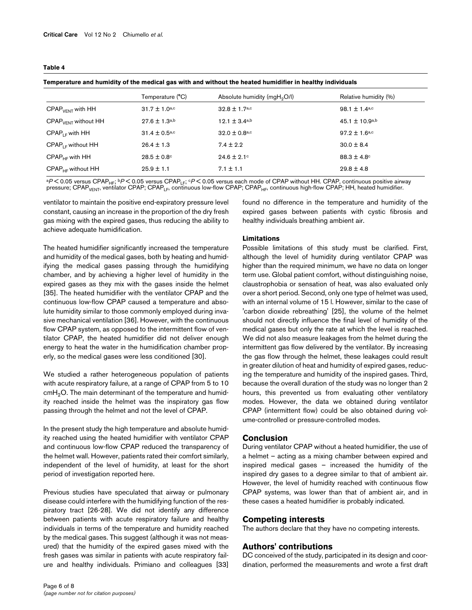<span id="page-5-0"></span>**Table 4**

|                          | Temperature (°C)              | Absolute humidity (mgH <sub>2</sub> O/l) | Relative humidity (%)       |  |  |  |
|--------------------------|-------------------------------|------------------------------------------|-----------------------------|--|--|--|
| $CPAPVENT$ with HH       | $31.7 \pm 1.0$ a,c            | $32.8 \pm 1.7$ <sub>a,c</sub>            | 98.1 $\pm$ 1.4a,c           |  |  |  |
| $CPAPVFNT$ without $HH$  | $27.6 \pm 1.3^{a,b}$          | 12.1 $\pm$ 3.4a,b                        | $45.1 \pm 10.9^{a,b}$       |  |  |  |
| $CPAPIF$ with HH         | $31.4 \pm 0.5$ <sub>a,c</sub> | $32.0 \pm 0.8$ <sub>a,c</sub>            | $97.2 \pm 1.6$ a,c          |  |  |  |
| $CPAP_{LE}$ without HH   | $26.4 \pm 1.3$                | $7.4 \pm 2.2$                            | $30.0 \pm 8.4$              |  |  |  |
| $CPAPHF$ with $HH$       | $28.5 \pm 0.8$ °              | $24.6 \pm 2.1$ °                         | $88.3 \pm 4.8$ <sup>c</sup> |  |  |  |
| $CPAP_{HF}$ without $HH$ | $25.9 \pm 1.1$                | $7.1 \pm 1.1$                            | $29.8 \pm 4.8$              |  |  |  |
|                          |                               |                                          |                             |  |  |  |

**Temperature and humidity of the medical gas with and without the heated humidifier in healthy individuals**

<sup>a</sup>*P* < 0.05 versus CPAPHF; b*P* < 0.05 versus CPAPLF; c*P* < 0.05 versus each mode of CPAP without HH. CPAP, continuous positive airway pressure; CPAP<sub>VENT</sub>, ventilator CPAP; CPAP<sub>LF</sub>, continuous low-flow CPAP; CPAP<sub>HF</sub>, continuous high-flow CPAP; HH, heated humidifier.

ventilator to maintain the positive end-expiratory pressure level constant, causing an increase in the proportion of the dry fresh gas mixing with the expired gases, thus reducing the ability to achieve adequate humidification.

The heated humidifier significantly increased the temperature and humidity of the medical gases, both by heating and humidifying the medical gases passing through the humidifying chamber, and by achieving a higher level of humidity in the expired gases as they mix with the gases inside the helmet [35]. The heated humidifier with the ventilator CPAP and the continuous low-flow CPAP caused a temperature and absolute humidity similar to those commonly employed during invasive mechanical ventilation [36]. However, with the continuous flow CPAP system, as opposed to the intermittent flow of ventilator CPAP, the heated humidifier did not deliver enough energy to heat the water in the humidification chamber properly, so the medical gases were less conditioned [30].

We studied a rather heterogeneous population of patients with acute respiratory failure, at a range of CPAP from 5 to 10  $cmH<sub>2</sub>O$ . The main determinant of the temperature and humidity reached inside the helmet was the inspiratory gas flow passing through the helmet and not the level of CPAP.

In the present study the high temperature and absolute humidity reached using the heated humidifier with ventilator CPAP and continuous low-flow CPAP reduced the transparency of the helmet wall. However, patients rated their comfort similarly, independent of the level of humidity, at least for the short period of investigation reported here.

Previous studies have speculated that airway or pulmonary disease could interfere with the humidifying function of the respiratory tract [26-28]. We did not identify any difference between patients with acute respiratory failure and healthy individuals in terms of the temperature and humidity reached by the medical gases. This suggest (although it was not measured) that the humidity of the expired gases mixed with the fresh gases was similar in patients with acute respiratory failure and healthy individuals. Primiano and colleagues [33] found no difference in the temperature and humidity of the expired gases between patients with cystic fibrosis and healthy individuals breathing ambient air.

#### **Limitations**

Possible limitations of this study must be clarified. First, although the level of humidity during ventilator CPAP was higher than the required minimum, we have no data on longer term use. Global patient comfort, without distinguishing noise, claustrophobia or sensation of heat, was also evaluated only over a short period. Second, only one type of helmet was used, with an internal volume of 15 l. However, similar to the case of 'carbon dioxide rebreathing' [25], the volume of the helmet should not directly influence the final level of humidity of the medical gases but only the rate at which the level is reached. We did not also measure leakages from the helmet during the intermittent gas flow delivered by the ventilator. By increasing the gas flow through the helmet, these leakages could result in greater dilution of heat and humidity of expired gases, reducing the temperature and humidity of the inspired gases. Third, because the overall duration of the study was no longer than 2 hours, this prevented us from evaluating other ventilatory modes. However, the data we obtained during ventilator CPAP (intermittent flow) could be also obtained during volume-controlled or pressure-controlled modes.

### **Conclusion**

During ventilator CPAP without a heated humidifier, the use of a helmet – acting as a mixing chamber between expired and inspired medical gases – increased the humidity of the inspired dry gases to a degree similar to that of ambient air. However, the level of humidity reached with continuous flow CPAP systems, was lower than that of ambient air, and in these cases a heated humidifier is probably indicated.

### **Competing interests**

The authors declare that they have no competing interests.

### **Authors' contributions**

DC conceived of the study, participated in its design and coordination, performed the measurements and wrote a first draft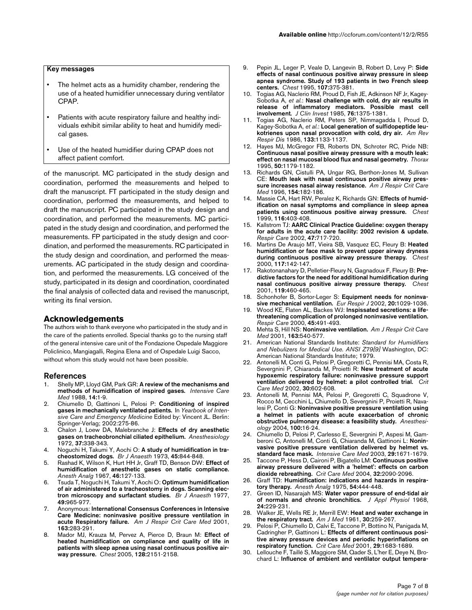## **Key messages**

- The helmet acts as a humidity chamber, rendering the use of a heated humidifier unnecessary during ventilator CPAP.
- Patients with acute respiratory failure and healthy individuals exhibit similar ability to heat and humidify medical gases.
- Use of the heated humidifier during CPAP does not affect patient comfort.

of the manuscript. MC participated in the study design and coordination, performed the measurements and helped to draft the manuscript. FT participated in the study design and coordination, performed the measurements, and helped to draft the manuscript. PC participated in the study design and coordination, and performed the measurements. MC participated in the study design and coordination, and performed the measurements. FP participated in the study design and coordination, and performed the measurements. RC participated in the study design and coordination, and performed the measurements. AC participated in the study design and coordination, and performed the measurements. LG conceived of the study, participated in its design and coordination, coordinated the final analysis of collected data and revised the manuscript, writing its final version.

#### **Acknowledgements**

The authors wish to thank everyone who participated in the study and in the care of the patients enrolled. Special thanks go to the nursing staff of the general intensive care unit of the Fondazione Ospedale Maggiore Policlinico, Mangiagalli, Regina Elena and of Ospedale Luigi Sacco, without whom this study would not have been possible.

#### **References**

- 1. Shelly MP, Lloyd GM, Park GR: **[A review of the mechanisms and](http://www.ncbi.nlm.nih.gov/entrez/query.fcgi?cmd=Retrieve&db=PubMed&dopt=Abstract&list_uids=3278023) [methods of humidification of inspired gases.](http://www.ncbi.nlm.nih.gov/entrez/query.fcgi?cmd=Retrieve&db=PubMed&dopt=Abstract&list_uids=3278023)** *Intensive Care Med* 1988, **14:**1-9.
- 2. Chiumello D, Gattinoni L, Pelosi P: **Conditioning of inspired gases in mechanically ventilated patients.** In *Yearbook of Intensive Care and Emergency Medicine* Edited by: Vincent JL. Berlin: Springer-Verlag; 2002:275-86.
- 3. Chalon J, Loew DA, Malebranche J: **[Effects of dry anesthetic](http://www.ncbi.nlm.nih.gov/entrez/query.fcgi?cmd=Retrieve&db=PubMed&dopt=Abstract&list_uids=4115208) [gases on tracheobronchial ciliated epithelium.](http://www.ncbi.nlm.nih.gov/entrez/query.fcgi?cmd=Retrieve&db=PubMed&dopt=Abstract&list_uids=4115208)** *Anesthesiology* 1972, **37:**338-343.
- 4. Noguchi H, Takumi Y, Aochi O: **[A study of humidification in tra](http://www.ncbi.nlm.nih.gov/entrez/query.fcgi?cmd=Retrieve&db=PubMed&dopt=Abstract&list_uids=4753681)[cheostomized dogs.](http://www.ncbi.nlm.nih.gov/entrez/query.fcgi?cmd=Retrieve&db=PubMed&dopt=Abstract&list_uids=4753681)** *Br J Anaesth* 1973, **45:**844-848.
- 5. Rashad K, Wilson K, Hurt HH Jr, Graff TD, Benson DW: **[Effect of](http://www.ncbi.nlm.nih.gov/entrez/query.fcgi?cmd=Retrieve&db=PubMed&dopt=Abstract&list_uids=6066847) [humidification of anesthetic gases on static compliance.](http://www.ncbi.nlm.nih.gov/entrez/query.fcgi?cmd=Retrieve&db=PubMed&dopt=Abstract&list_uids=6066847)** *Anesth Analg* 1967, **46:**127-133.
- 6. Tsuda T, Noguchi H, Takumi Y, Aochi O: **[Optimum humidification](http://www.ncbi.nlm.nih.gov/entrez/query.fcgi?cmd=Retrieve&db=PubMed&dopt=Abstract&list_uids=579156) [of air administered to a tracheostomy in dogs. Scanning elec](http://www.ncbi.nlm.nih.gov/entrez/query.fcgi?cmd=Retrieve&db=PubMed&dopt=Abstract&list_uids=579156)[tron microscopy and surfactant studies.](http://www.ncbi.nlm.nih.gov/entrez/query.fcgi?cmd=Retrieve&db=PubMed&dopt=Abstract&list_uids=579156)** *Br J Anaesth* 1977, **49:**965-977.
- 7. Anonymous: **[International Consensus Conferences in Intensive](http://www.ncbi.nlm.nih.gov/entrez/query.fcgi?cmd=Retrieve&db=PubMed&dopt=Abstract&list_uids=11208659) [Care Medicine: noninvasive positive pressure ventilation in](http://www.ncbi.nlm.nih.gov/entrez/query.fcgi?cmd=Retrieve&db=PubMed&dopt=Abstract&list_uids=11208659) [acute Respiratory failure.](http://www.ncbi.nlm.nih.gov/entrez/query.fcgi?cmd=Retrieve&db=PubMed&dopt=Abstract&list_uids=11208659)** *Am J Respir Crit Care Med* 2001, **163:**283-291.
- 8. Mador MJ, Krauza M, Pervez A, Pierce D, Braun M: **[Effect of](http://www.ncbi.nlm.nih.gov/entrez/query.fcgi?cmd=Retrieve&db=PubMed&dopt=Abstract&list_uids=16236868) [heated humidification on compliance and quality of life in](http://www.ncbi.nlm.nih.gov/entrez/query.fcgi?cmd=Retrieve&db=PubMed&dopt=Abstract&list_uids=16236868) patients with sleep apnea using nasal continuous positive air[way pressure.](http://www.ncbi.nlm.nih.gov/entrez/query.fcgi?cmd=Retrieve&db=PubMed&dopt=Abstract&list_uids=16236868)** *Chest* 2005, **128:**2151-2158.
- 9. Pepin JL, Leger P, Veale D, Langevin B, Robert D, Levy P: **[Side](http://www.ncbi.nlm.nih.gov/entrez/query.fcgi?cmd=Retrieve&db=PubMed&dopt=Abstract&list_uids=7842764) [effects of nasal continuous positive airway pressure in sleep](http://www.ncbi.nlm.nih.gov/entrez/query.fcgi?cmd=Retrieve&db=PubMed&dopt=Abstract&list_uids=7842764) apnea syndrome. Study of 193 patients in two French sleep [centers.](http://www.ncbi.nlm.nih.gov/entrez/query.fcgi?cmd=Retrieve&db=PubMed&dopt=Abstract&list_uids=7842764)** *Chest* 1995, **107:**375-381.
- 10. Togias AG, Naclerio RM, Proud D, Fish JE, Adkinson NF Jr, Kagey-Sobotka A, *et al.*: **[Nasal challenge with cold, dry air results in](http://www.ncbi.nlm.nih.gov/entrez/query.fcgi?cmd=Retrieve&db=PubMed&dopt=Abstract&list_uids=2414318) [release of inflammatory mediators. Possible mast cell](http://www.ncbi.nlm.nih.gov/entrez/query.fcgi?cmd=Retrieve&db=PubMed&dopt=Abstract&list_uids=2414318) [involvement.](http://www.ncbi.nlm.nih.gov/entrez/query.fcgi?cmd=Retrieve&db=PubMed&dopt=Abstract&list_uids=2414318)** *J Clin Invest* 1985, **76:**1375-1381.
- 11. Togias AG, Naclerio RM, Peters SP, Nimmagadda I, Proud D, Kagey-Sobotka A, *et al.*: **[Local generation of sulfidopeptide leu](http://www.ncbi.nlm.nih.gov/entrez/query.fcgi?cmd=Retrieve&db=PubMed&dopt=Abstract&list_uids=3013056)[kotrienes upon nasal provocation with cold, dry air.](http://www.ncbi.nlm.nih.gov/entrez/query.fcgi?cmd=Retrieve&db=PubMed&dopt=Abstract&list_uids=3013056)** *Am Rev Respir Dis* 1986, **133:**1133-1137.
- 12. Hayes MJ, McGregor FB, Roberts DN, Schroter RC, Pride NB: **[Continuous nasal positive airway pressure with a mouth leak:](http://www.ncbi.nlm.nih.gov/entrez/query.fcgi?cmd=Retrieve&db=PubMed&dopt=Abstract&list_uids=8553274) [effect on nasal mucosal blood flux and nasal geometry.](http://www.ncbi.nlm.nih.gov/entrez/query.fcgi?cmd=Retrieve&db=PubMed&dopt=Abstract&list_uids=8553274)** *Thorax* 1995, **50:**1179-1182.
- 13. Richards GN, Cistulli PA, Ungar RG, Berthon-Jones M, Sullivan CE: **[Mouth leak with nasal continuous positive airway pres](http://www.ncbi.nlm.nih.gov/entrez/query.fcgi?cmd=Retrieve&db=PubMed&dopt=Abstract&list_uids=8680678)[sure increases nasal airway resistance.](http://www.ncbi.nlm.nih.gov/entrez/query.fcgi?cmd=Retrieve&db=PubMed&dopt=Abstract&list_uids=8680678)** *Am J Respir Crit Care Med* 1996, **154:**182-186.
- 14. Massie CA, Hart RW, Peralez K, Richards GN: **[Effects of humid](http://www.ncbi.nlm.nih.gov/entrez/query.fcgi?cmd=Retrieve&db=PubMed&dopt=Abstract&list_uids=10453869)[ification on nasal symptoms and compliance in sleep apnea](http://www.ncbi.nlm.nih.gov/entrez/query.fcgi?cmd=Retrieve&db=PubMed&dopt=Abstract&list_uids=10453869) [patients using continuous positive airway pressure.](http://www.ncbi.nlm.nih.gov/entrez/query.fcgi?cmd=Retrieve&db=PubMed&dopt=Abstract&list_uids=10453869)** *Chest* 1999, **116:**403-408.
- 15. Kallstrom TJ: **[AARC Clinical Practice Guideline: oxygen therapy](http://www.ncbi.nlm.nih.gov/entrez/query.fcgi?cmd=Retrieve&db=PubMed&dopt=Abstract&list_uids=12078655) [for adults in the acute care facility: 2002 revision & update.](http://www.ncbi.nlm.nih.gov/entrez/query.fcgi?cmd=Retrieve&db=PubMed&dopt=Abstract&list_uids=12078655)** *Respir Care* 2002, **47:**717-720.
- 16. Martins De Araujo MT, Vieira SB, Vasquez EC, Fleury B: **[Heated](http://www.ncbi.nlm.nih.gov/entrez/query.fcgi?cmd=Retrieve&db=PubMed&dopt=Abstract&list_uids=10631212) [humidification or face mask to prevent upper airway dryness](http://www.ncbi.nlm.nih.gov/entrez/query.fcgi?cmd=Retrieve&db=PubMed&dopt=Abstract&list_uids=10631212) [during continuous positive airway pressure therapy.](http://www.ncbi.nlm.nih.gov/entrez/query.fcgi?cmd=Retrieve&db=PubMed&dopt=Abstract&list_uids=10631212)** *Chest* 2000, **117:**142-147.
- 17. Rakotonanahary D, Pelletier-Fleury N, Gagnadoux F, Fleury B: **[Pre](http://www.ncbi.nlm.nih.gov/entrez/query.fcgi?cmd=Retrieve&db=PubMed&dopt=Abstract&list_uids=11171723)[dictive factors for the need for additional humidification during](http://www.ncbi.nlm.nih.gov/entrez/query.fcgi?cmd=Retrieve&db=PubMed&dopt=Abstract&list_uids=11171723) [nasal continuous positive airway pressure therapy.](http://www.ncbi.nlm.nih.gov/entrez/query.fcgi?cmd=Retrieve&db=PubMed&dopt=Abstract&list_uids=11171723)** *Chest* 2001, **119:**460-465.
- 18. Schonhofer B, Sortor-Leger S: **[Equipment needs for noninva](http://www.ncbi.nlm.nih.gov/entrez/query.fcgi?cmd=Retrieve&db=PubMed&dopt=Abstract&list_uids=12412700)[sive mechanical ventilation.](http://www.ncbi.nlm.nih.gov/entrez/query.fcgi?cmd=Retrieve&db=PubMed&dopt=Abstract&list_uids=12412700)** *Eur Respir J* 2002, **20:**1029-1036.
- 19. Wood KE, Flaten AL, Backes WJ: **[Inspissated secretions: a life](http://www.ncbi.nlm.nih.gov/entrez/query.fcgi?cmd=Retrieve&db=PubMed&dopt=Abstract&list_uids=10813225)[threatening complication of prolonged noninvasive ventilation.](http://www.ncbi.nlm.nih.gov/entrez/query.fcgi?cmd=Retrieve&db=PubMed&dopt=Abstract&list_uids=10813225)** *Respir Care* 2000, **45:**491-493.
- 20. Mehta S, Hill NS: **[Noninvasive ventilation.](http://www.ncbi.nlm.nih.gov/entrez/query.fcgi?cmd=Retrieve&db=PubMed&dopt=Abstract&list_uids=11179136)** *Am J Respir Crit Care Med* 2001, **163:**540-577.
- 21. American National Standards Institute: *Standard for Humidifiers and Nebulizers for Medical Use. ANSI Z79[9]* Washington, DC: American National Standards Institute; 1979.
- 22. Antonelli M, Conti G, Pelosi P, Gregoretti C, Pennisi MA, Costa R, Severgnini P, Chiaranda M, Proietti R: **[New treatment of acute](http://www.ncbi.nlm.nih.gov/entrez/query.fcgi?cmd=Retrieve&db=PubMed&dopt=Abstract&list_uids=11990923) [hypoxemic respiratory failure: noninvasive pressure support](http://www.ncbi.nlm.nih.gov/entrez/query.fcgi?cmd=Retrieve&db=PubMed&dopt=Abstract&list_uids=11990923) [ventilation delivered by helmet: a pilot controlled trial.](http://www.ncbi.nlm.nih.gov/entrez/query.fcgi?cmd=Retrieve&db=PubMed&dopt=Abstract&list_uids=11990923)** *Crit Care Med* 2002, **30:**602-608.
- 23. Antonelli M, Pennisi MA, Pelosi P, Gregoretti C, Squadrone V, Rocco M, Cecchini L, Chiumello D, Severgnini P, Proietti R, Navalesi P, Conti G: **[Noninvasive positive pressure ventilation using](http://www.ncbi.nlm.nih.gov/entrez/query.fcgi?cmd=Retrieve&db=PubMed&dopt=Abstract&list_uids=14695719) [a helmet in patients with acute exacerbation of chronic](http://www.ncbi.nlm.nih.gov/entrez/query.fcgi?cmd=Retrieve&db=PubMed&dopt=Abstract&list_uids=14695719) [obstructive pulmonary disease: a feasibility study.](http://www.ncbi.nlm.nih.gov/entrez/query.fcgi?cmd=Retrieve&db=PubMed&dopt=Abstract&list_uids=14695719)** *Anesthesiology* 2004, **100:**16-24.
- 24. Chiumello D, Pelosi P, Carlesso E, Severgnini P, Aspesi M, Gamberoni C, Antonelli M, Conti G, Chiaranda M, Gattinoni L: **[Nonin](http://www.ncbi.nlm.nih.gov/entrez/query.fcgi?cmd=Retrieve&db=PubMed&dopt=Abstract&list_uids=12802491)[vasive positive pressure ventilation delivered by helmet vs.](http://www.ncbi.nlm.nih.gov/entrez/query.fcgi?cmd=Retrieve&db=PubMed&dopt=Abstract&list_uids=12802491) [standard face mask.](http://www.ncbi.nlm.nih.gov/entrez/query.fcgi?cmd=Retrieve&db=PubMed&dopt=Abstract&list_uids=12802491)** *Intensive Care Med* 2003, **29:**1671-1679.
- 25. Taccone P, Hess D, Caironi P, Bigatello LM: **[Continuous positive](http://www.ncbi.nlm.nih.gov/entrez/query.fcgi?cmd=Retrieve&db=PubMed&dopt=Abstract&list_uids=15483419) [airway pressure delivered with a 'helmet': effects on carbon](http://www.ncbi.nlm.nih.gov/entrez/query.fcgi?cmd=Retrieve&db=PubMed&dopt=Abstract&list_uids=15483419) [dioxide rebreathing.](http://www.ncbi.nlm.nih.gov/entrez/query.fcgi?cmd=Retrieve&db=PubMed&dopt=Abstract&list_uids=15483419)** *Crit Care Med* 2004, **32:**2090-2096.
- 26. Graff TD: **[Humidification: indications and hazards in respira](http://www.ncbi.nlm.nih.gov/entrez/query.fcgi?cmd=Retrieve&db=PubMed&dopt=Abstract&list_uids=1170779)[tory therapy.](http://www.ncbi.nlm.nih.gov/entrez/query.fcgi?cmd=Retrieve&db=PubMed&dopt=Abstract&list_uids=1170779)** *Anesth Analg* 1975, **54:**444-448.
- 27. Green ID, Nasarajah MS: **[Water vapor pressure of end-tidal air](http://www.ncbi.nlm.nih.gov/entrez/query.fcgi?cmd=Retrieve&db=PubMed&dopt=Abstract&list_uids=5637686) [of normals and chronic bronchitics.](http://www.ncbi.nlm.nih.gov/entrez/query.fcgi?cmd=Retrieve&db=PubMed&dopt=Abstract&list_uids=5637686)** *J Appl Physiol* 1968, **24:**229-231.
- 28. Walker JE, Wells RE Jr, Merrill EW: **[Heat and water exchange in](http://www.ncbi.nlm.nih.gov/entrez/query.fcgi?cmd=Retrieve&db=PubMed&dopt=Abstract&list_uids=13782729) [the respiratory tract.](http://www.ncbi.nlm.nih.gov/entrez/query.fcgi?cmd=Retrieve&db=PubMed&dopt=Abstract&list_uids=13782729)** *Am J Med* 1961, **30:**259-267.
- 29. Pelosi P, Chiumello D, Calvi E, Taccone P, Bottino N, Panigada M, Cadringher P, Gattinoni L: **[Effects of different continuous posi](http://www.ncbi.nlm.nih.gov/entrez/query.fcgi?cmd=Retrieve&db=PubMed&dopt=Abstract&list_uids=11546965)[tive airway pressure devices and periodic hyperinflations on](http://www.ncbi.nlm.nih.gov/entrez/query.fcgi?cmd=Retrieve&db=PubMed&dopt=Abstract&list_uids=11546965) [respiratory function.](http://www.ncbi.nlm.nih.gov/entrez/query.fcgi?cmd=Retrieve&db=PubMed&dopt=Abstract&list_uids=11546965)** *Crit Care Med* 2001, **29:**1683-1689.
- 30. Lellouche F, Taillé S, Maggiore SM, Qader S, L'her E, Deye N, Brochard L: **[Influence of ambient and ventilator output tempera-](http://www.ncbi.nlm.nih.gov/entrez/query.fcgi?cmd=Retrieve&db=PubMed&dopt=Abstract&list_uids=15271695)**